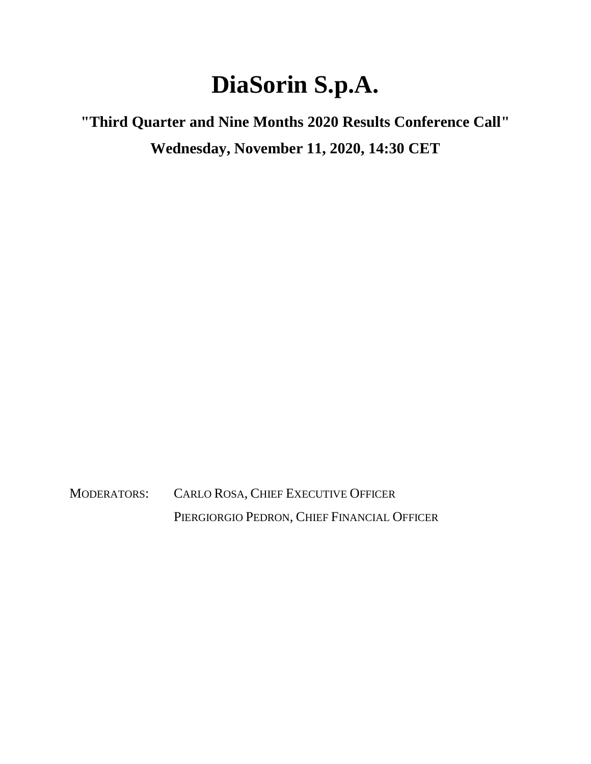## **DiaSorin S.p.A.**

**"Third Quarter and Nine Months 2020 Results Conference Call" Wednesday, November 11, 2020, 14:30 CET**

MODERATORS: CARLO ROSA, CHIEF EXECUTIVE OFFICER PIERGIORGIO PEDRON, CHIEF FINANCIAL OFFICER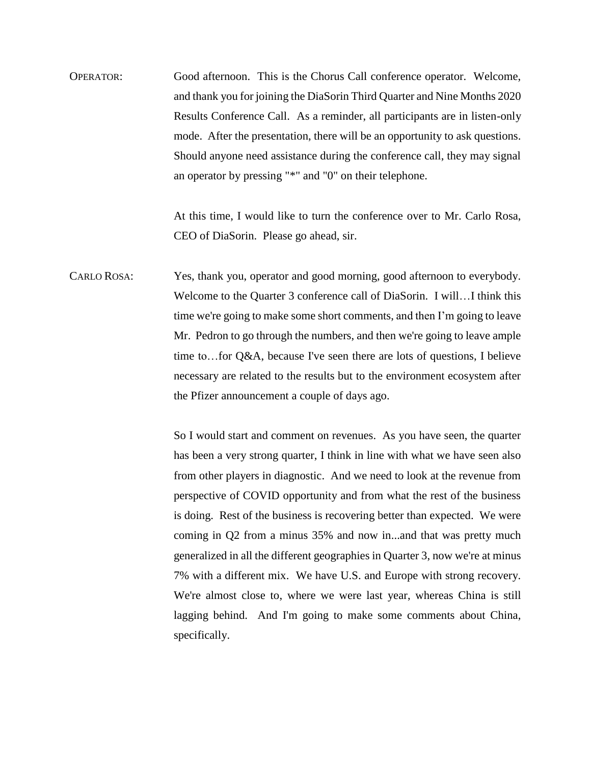OPERATOR: Good afternoon. This is the Chorus Call conference operator. Welcome, and thank you for joining the DiaSorin Third Quarter and Nine Months 2020 Results Conference Call. As a reminder, all participants are in listen-only mode. After the presentation, there will be an opportunity to ask questions. Should anyone need assistance during the conference call, they may signal an operator by pressing "\*" and "0" on their telephone.

> At this time, I would like to turn the conference over to Mr. Carlo Rosa, CEO of DiaSorin. Please go ahead, sir.

CARLO ROSA: Yes, thank you, operator and good morning, good afternoon to everybody. Welcome to the Quarter 3 conference call of DiaSorin. I will…I think this time we're going to make some short comments, and then I'm going to leave Mr. Pedron to go through the numbers, and then we're going to leave ample time to…for Q&A, because I've seen there are lots of questions, I believe necessary are related to the results but to the environment ecosystem after the Pfizer announcement a couple of days ago.

> So I would start and comment on revenues. As you have seen, the quarter has been a very strong quarter, I think in line with what we have seen also from other players in diagnostic. And we need to look at the revenue from perspective of COVID opportunity and from what the rest of the business is doing. Rest of the business is recovering better than expected. We were coming in Q2 from a minus 35% and now in...and that was pretty much generalized in all the different geographies in Quarter 3, now we're at minus 7% with a different mix. We have U.S. and Europe with strong recovery. We're almost close to, where we were last year, whereas China is still lagging behind. And I'm going to make some comments about China, specifically.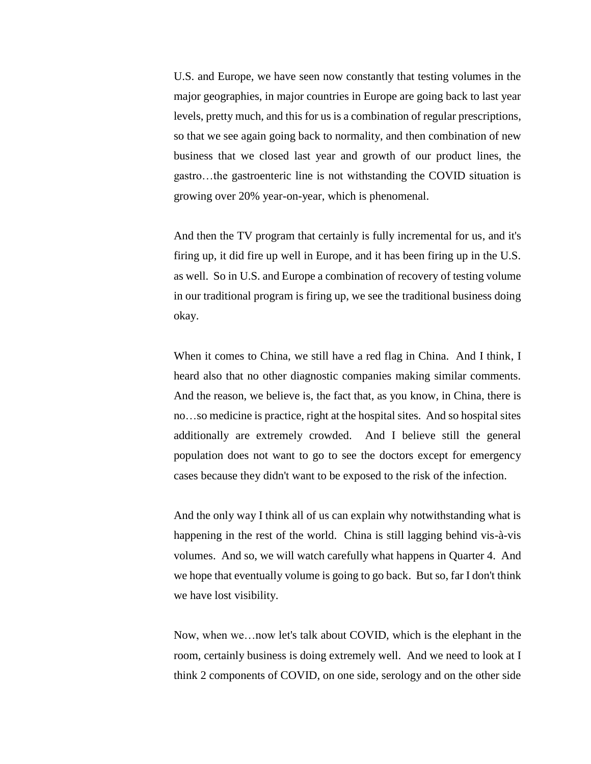U.S. and Europe, we have seen now constantly that testing volumes in the major geographies, in major countries in Europe are going back to last year levels, pretty much, and this for us is a combination of regular prescriptions, so that we see again going back to normality, and then combination of new business that we closed last year and growth of our product lines, the gastro…the gastroenteric line is not withstanding the COVID situation is growing over 20% year-on-year, which is phenomenal.

And then the TV program that certainly is fully incremental for us, and it's firing up, it did fire up well in Europe, and it has been firing up in the U.S. as well. So in U.S. and Europe a combination of recovery of testing volume in our traditional program is firing up, we see the traditional business doing okay.

When it comes to China, we still have a red flag in China. And I think, I heard also that no other diagnostic companies making similar comments. And the reason, we believe is, the fact that, as you know, in China, there is no…so medicine is practice, right at the hospital sites. And so hospital sites additionally are extremely crowded. And I believe still the general population does not want to go to see the doctors except for emergency cases because they didn't want to be exposed to the risk of the infection.

And the only way I think all of us can explain why notwithstanding what is happening in the rest of the world. China is still lagging behind vis-à-vis volumes. And so, we will watch carefully what happens in Quarter 4. And we hope that eventually volume is going to go back. But so, far I don't think we have lost visibility.

Now, when we…now let's talk about COVID, which is the elephant in the room, certainly business is doing extremely well. And we need to look at I think 2 components of COVID, on one side, serology and on the other side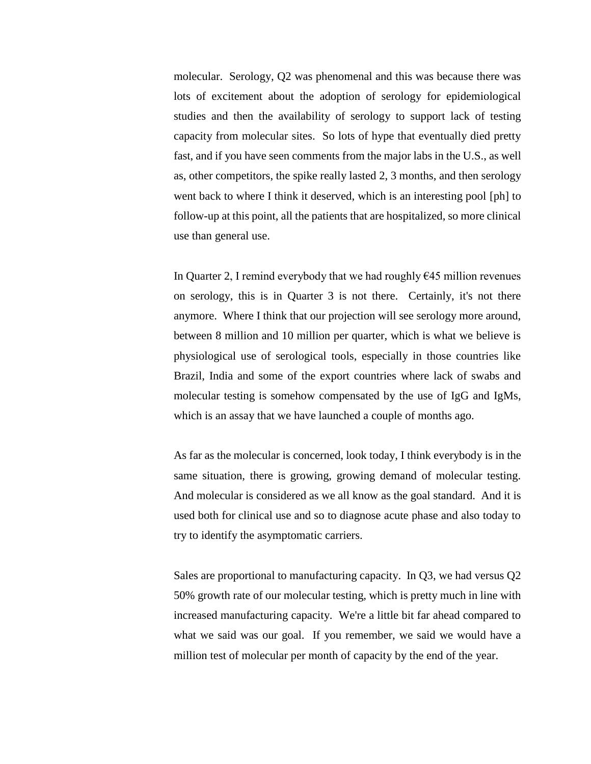molecular. Serology, Q2 was phenomenal and this was because there was lots of excitement about the adoption of serology for epidemiological studies and then the availability of serology to support lack of testing capacity from molecular sites. So lots of hype that eventually died pretty fast, and if you have seen comments from the major labs in the U.S., as well as, other competitors, the spike really lasted 2, 3 months, and then serology went back to where I think it deserved, which is an interesting pool [ph] to follow-up at this point, all the patients that are hospitalized, so more clinical use than general use.

In Quarter 2, I remind everybody that we had roughly  $\epsilon$ 45 million revenues on serology, this is in Quarter 3 is not there. Certainly, it's not there anymore. Where I think that our projection will see serology more around, between 8 million and 10 million per quarter, which is what we believe is physiological use of serological tools, especially in those countries like Brazil, India and some of the export countries where lack of swabs and molecular testing is somehow compensated by the use of IgG and IgMs, which is an assay that we have launched a couple of months ago.

As far as the molecular is concerned, look today, I think everybody is in the same situation, there is growing, growing demand of molecular testing. And molecular is considered as we all know as the goal standard. And it is used both for clinical use and so to diagnose acute phase and also today to try to identify the asymptomatic carriers.

Sales are proportional to manufacturing capacity. In Q3, we had versus Q2 50% growth rate of our molecular testing, which is pretty much in line with increased manufacturing capacity. We're a little bit far ahead compared to what we said was our goal. If you remember, we said we would have a million test of molecular per month of capacity by the end of the year.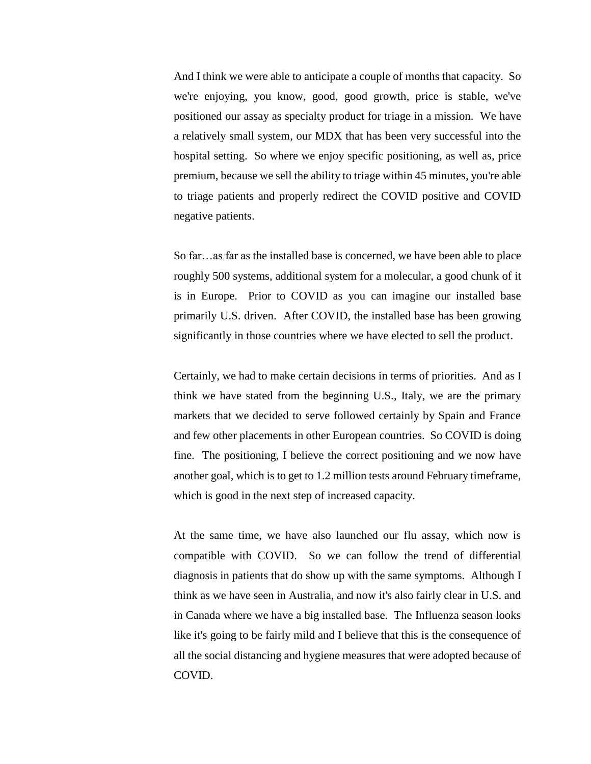And I think we were able to anticipate a couple of months that capacity. So we're enjoying, you know, good, good growth, price is stable, we've positioned our assay as specialty product for triage in a mission. We have a relatively small system, our MDX that has been very successful into the hospital setting. So where we enjoy specific positioning, as well as, price premium, because we sell the ability to triage within 45 minutes, you're able to triage patients and properly redirect the COVID positive and COVID negative patients.

So far…as far as the installed base is concerned, we have been able to place roughly 500 systems, additional system for a molecular, a good chunk of it is in Europe. Prior to COVID as you can imagine our installed base primarily U.S. driven. After COVID, the installed base has been growing significantly in those countries where we have elected to sell the product.

Certainly, we had to make certain decisions in terms of priorities. And as I think we have stated from the beginning U.S., Italy, we are the primary markets that we decided to serve followed certainly by Spain and France and few other placements in other European countries. So COVID is doing fine. The positioning, I believe the correct positioning and we now have another goal, which is to get to 1.2 million tests around February timeframe, which is good in the next step of increased capacity.

At the same time, we have also launched our flu assay, which now is compatible with COVID. So we can follow the trend of differential diagnosis in patients that do show up with the same symptoms. Although I think as we have seen in Australia, and now it's also fairly clear in U.S. and in Canada where we have a big installed base. The Influenza season looks like it's going to be fairly mild and I believe that this is the consequence of all the social distancing and hygiene measures that were adopted because of COVID.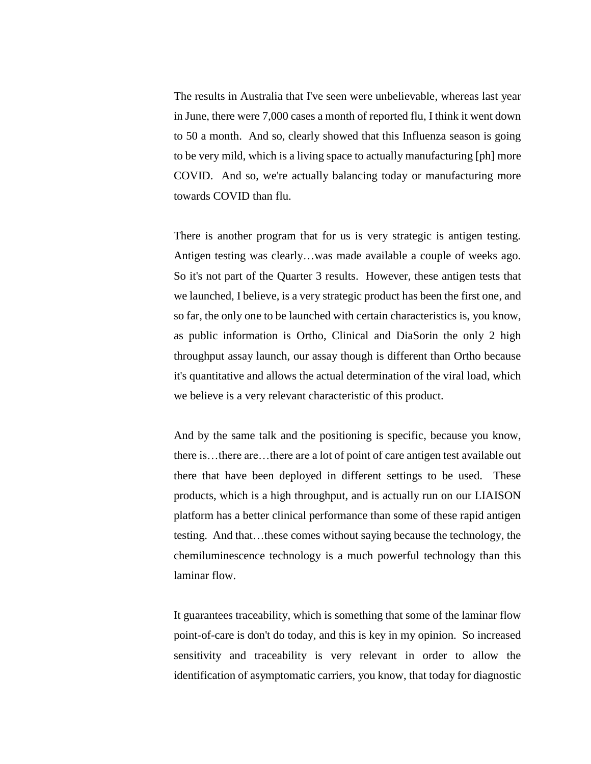The results in Australia that I've seen were unbelievable, whereas last year in June, there were 7,000 cases a month of reported flu, I think it went down to 50 a month. And so, clearly showed that this Influenza season is going to be very mild, which is a living space to actually manufacturing [ph] more COVID. And so, we're actually balancing today or manufacturing more towards COVID than flu.

There is another program that for us is very strategic is antigen testing. Antigen testing was clearly…was made available a couple of weeks ago. So it's not part of the Quarter 3 results. However, these antigen tests that we launched, I believe, is a very strategic product has been the first one, and so far, the only one to be launched with certain characteristics is, you know, as public information is Ortho, Clinical and DiaSorin the only 2 high throughput assay launch, our assay though is different than Ortho because it's quantitative and allows the actual determination of the viral load, which we believe is a very relevant characteristic of this product.

And by the same talk and the positioning is specific, because you know, there is…there are…there are a lot of point of care antigen test available out there that have been deployed in different settings to be used. These products, which is a high throughput, and is actually run on our LIAISON platform has a better clinical performance than some of these rapid antigen testing. And that…these comes without saying because the technology, the chemiluminescence technology is a much powerful technology than this laminar flow.

It guarantees traceability, which is something that some of the laminar flow point-of-care is don't do today, and this is key in my opinion. So increased sensitivity and traceability is very relevant in order to allow the identification of asymptomatic carriers, you know, that today for diagnostic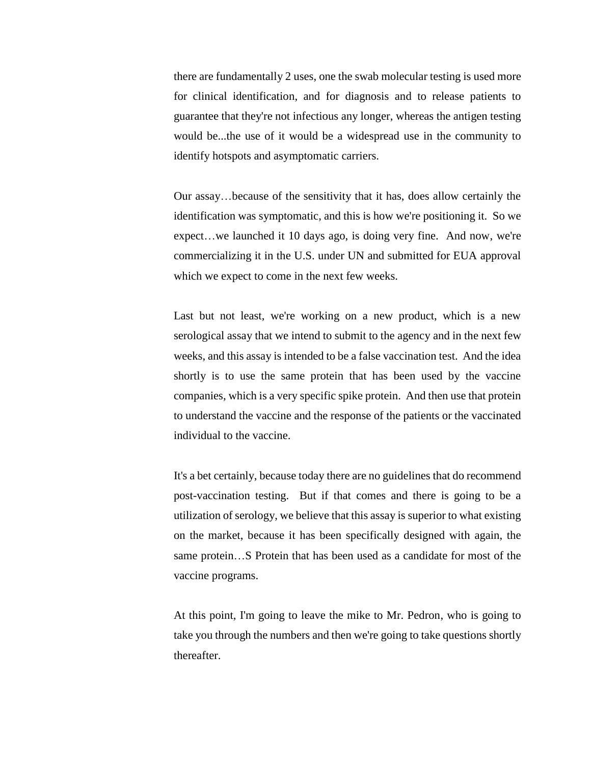there are fundamentally 2 uses, one the swab molecular testing is used more for clinical identification, and for diagnosis and to release patients to guarantee that they're not infectious any longer, whereas the antigen testing would be...the use of it would be a widespread use in the community to identify hotspots and asymptomatic carriers.

Our assay…because of the sensitivity that it has, does allow certainly the identification was symptomatic, and this is how we're positioning it. So we expect…we launched it 10 days ago, is doing very fine. And now, we're commercializing it in the U.S. under UN and submitted for EUA approval which we expect to come in the next few weeks.

Last but not least, we're working on a new product, which is a new serological assay that we intend to submit to the agency and in the next few weeks, and this assay is intended to be a false vaccination test. And the idea shortly is to use the same protein that has been used by the vaccine companies, which is a very specific spike protein. And then use that protein to understand the vaccine and the response of the patients or the vaccinated individual to the vaccine.

It's a bet certainly, because today there are no guidelines that do recommend post-vaccination testing. But if that comes and there is going to be a utilization of serology, we believe that this assay is superior to what existing on the market, because it has been specifically designed with again, the same protein…S Protein that has been used as a candidate for most of the vaccine programs.

At this point, I'm going to leave the mike to Mr. Pedron, who is going to take you through the numbers and then we're going to take questions shortly thereafter.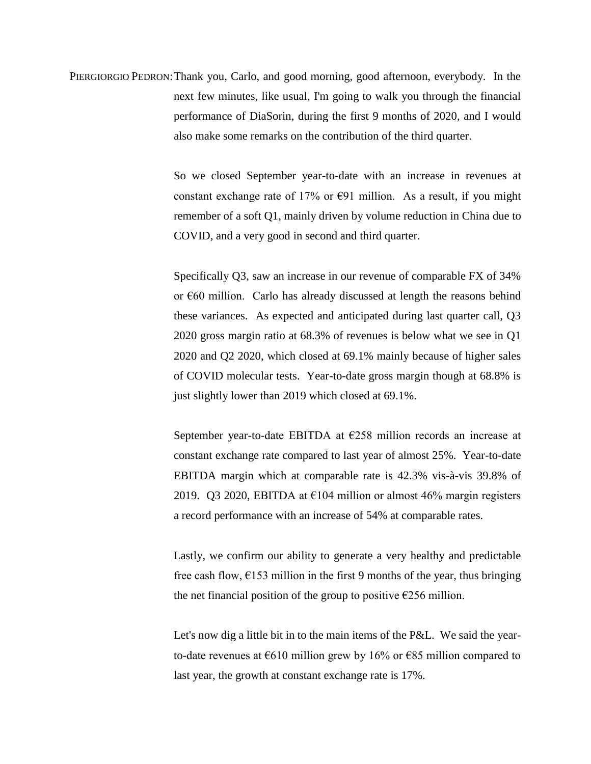PIERGIORGIO PEDRON:Thank you, Carlo, and good morning, good afternoon, everybody. In the next few minutes, like usual, I'm going to walk you through the financial performance of DiaSorin, during the first 9 months of 2020, and I would also make some remarks on the contribution of the third quarter.

> So we closed September year-to-date with an increase in revenues at constant exchange rate of 17% or  $\epsilon$ 91 million. As a result, if you might remember of a soft Q1, mainly driven by volume reduction in China due to COVID, and a very good in second and third quarter.

> Specifically Q3, saw an increase in our revenue of comparable FX of 34% or  $\epsilon$ 60 million. Carlo has already discussed at length the reasons behind these variances. As expected and anticipated during last quarter call, Q3 2020 gross margin ratio at 68.3% of revenues is below what we see in Q1 2020 and Q2 2020, which closed at 69.1% mainly because of higher sales of COVID molecular tests. Year-to-date gross margin though at 68.8% is just slightly lower than 2019 which closed at 69.1%.

> September year-to-date EBITDA at €258 million records an increase at constant exchange rate compared to last year of almost 25%. Year-to-date EBITDA margin which at comparable rate is 42.3% vis-à-vis 39.8% of 2019. Q3 2020, EBITDA at  $\epsilon$ 104 million or almost 46% margin registers a record performance with an increase of 54% at comparable rates.

> Lastly, we confirm our ability to generate a very healthy and predictable free cash flow,  $\epsilon$ 153 million in the first 9 months of the year, thus bringing the net financial position of the group to positive  $\epsilon$ 256 million.

> Let's now dig a little bit in to the main items of the P&L. We said the yearto-date revenues at  $\epsilon$ 610 million grew by 16% or  $\epsilon$ 85 million compared to last year, the growth at constant exchange rate is 17%.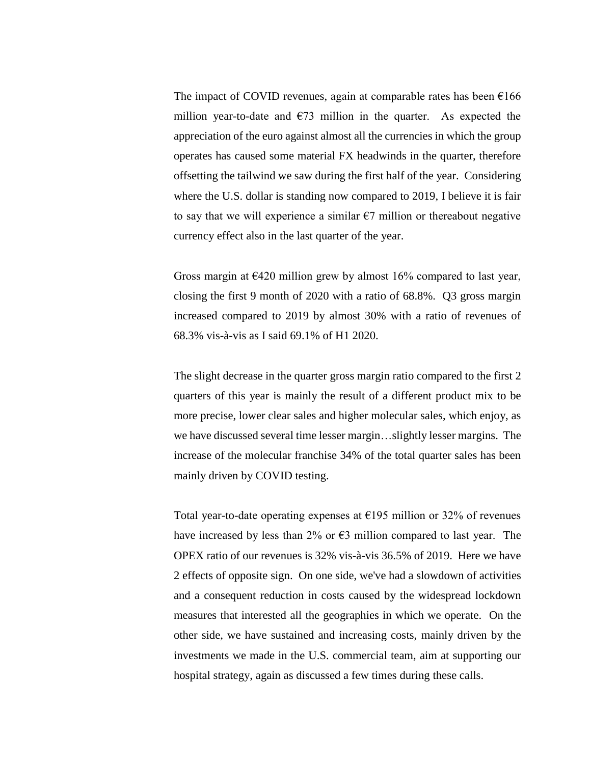The impact of COVID revenues, again at comparable rates has been  $\epsilon 166$ million year-to-date and  $\epsilon$ 73 million in the quarter. As expected the appreciation of the euro against almost all the currencies in which the group operates has caused some material FX headwinds in the quarter, therefore offsetting the tailwind we saw during the first half of the year. Considering where the U.S. dollar is standing now compared to 2019, I believe it is fair to say that we will experience a similar  $\epsilon$ 7 million or thereabout negative currency effect also in the last quarter of the year.

Gross margin at  $\epsilon$ 420 million grew by almost 16% compared to last year, closing the first 9 month of 2020 with a ratio of 68.8%. Q3 gross margin increased compared to 2019 by almost 30% with a ratio of revenues of 68.3% vis-à-vis as I said 69.1% of H1 2020.

The slight decrease in the quarter gross margin ratio compared to the first 2 quarters of this year is mainly the result of a different product mix to be more precise, lower clear sales and higher molecular sales, which enjoy, as we have discussed several time lesser margin…slightly lesser margins. The increase of the molecular franchise 34% of the total quarter sales has been mainly driven by COVID testing.

Total year-to-date operating expenses at  $\epsilon$ 195 million or 32% of revenues have increased by less than 2% or  $\epsilon$ 3 million compared to last year. The OPEX ratio of our revenues is 32% vis-à-vis 36.5% of 2019. Here we have 2 effects of opposite sign. On one side, we've had a slowdown of activities and a consequent reduction in costs caused by the widespread lockdown measures that interested all the geographies in which we operate. On the other side, we have sustained and increasing costs, mainly driven by the investments we made in the U.S. commercial team, aim at supporting our hospital strategy, again as discussed a few times during these calls.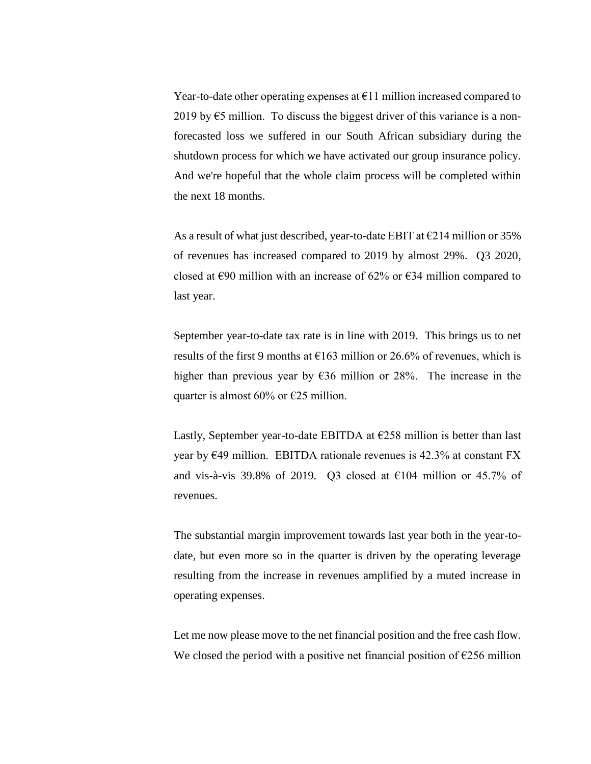Year-to-date other operating expenses at  $E11$  million increased compared to 2019 by  $\epsilon$ 5 million. To discuss the biggest driver of this variance is a nonforecasted loss we suffered in our South African subsidiary during the shutdown process for which we have activated our group insurance policy. And we're hopeful that the whole claim process will be completed within the next 18 months.

As a result of what just described, year-to-date EBIT at  $\epsilon$ 214 million or 35% of revenues has increased compared to 2019 by almost 29%. Q3 2020, closed at  $\epsilon$ 90 million with an increase of 62% or  $\epsilon$ 34 million compared to last year.

September year-to-date tax rate is in line with 2019. This brings us to net results of the first 9 months at  $\epsilon$ 163 million or 26.6% of revenues, which is higher than previous year by  $636$  million or 28%. The increase in the quarter is almost 60% or  $\epsilon$ 25 million.

Lastly, September year-to-date EBITDA at  $E258$  million is better than last year by  $\epsilon$ 49 million. EBITDA rationale revenues is 42.3% at constant FX and vis-à-vis 39.8% of 2019. Q3 closed at  $E104$  million or 45.7% of revenues.

The substantial margin improvement towards last year both in the year-todate, but even more so in the quarter is driven by the operating leverage resulting from the increase in revenues amplified by a muted increase in operating expenses.

Let me now please move to the net financial position and the free cash flow. We closed the period with a positive net financial position of  $\epsilon$ 256 million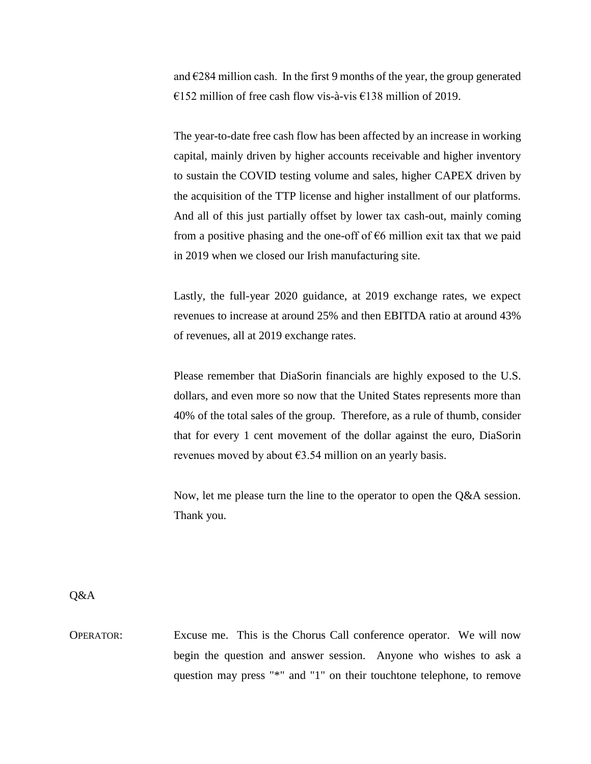and  $\epsilon$ 284 million cash. In the first 9 months of the year, the group generated €152 million of free cash flow vis-à-vis €138 million of 2019.

The year-to-date free cash flow has been affected by an increase in working capital, mainly driven by higher accounts receivable and higher inventory to sustain the COVID testing volume and sales, higher CAPEX driven by the acquisition of the TTP license and higher installment of our platforms. And all of this just partially offset by lower tax cash-out, mainly coming from a positive phasing and the one-off of  $\epsilon$ 6 million exit tax that we paid in 2019 when we closed our Irish manufacturing site.

Lastly, the full-year 2020 guidance, at 2019 exchange rates, we expect revenues to increase at around 25% and then EBITDA ratio at around 43% of revenues, all at 2019 exchange rates.

Please remember that DiaSorin financials are highly exposed to the U.S. dollars, and even more so now that the United States represents more than 40% of the total sales of the group. Therefore, as a rule of thumb, consider that for every 1 cent movement of the dollar against the euro, DiaSorin revenues moved by about  $\epsilon$ 3.54 million on an yearly basis.

Now, let me please turn the line to the operator to open the Q&A session. Thank you.

Q&A

OPERATOR: Excuse me. This is the Chorus Call conference operator. We will now begin the question and answer session. Anyone who wishes to ask a question may press "\*" and "1" on their touchtone telephone, to remove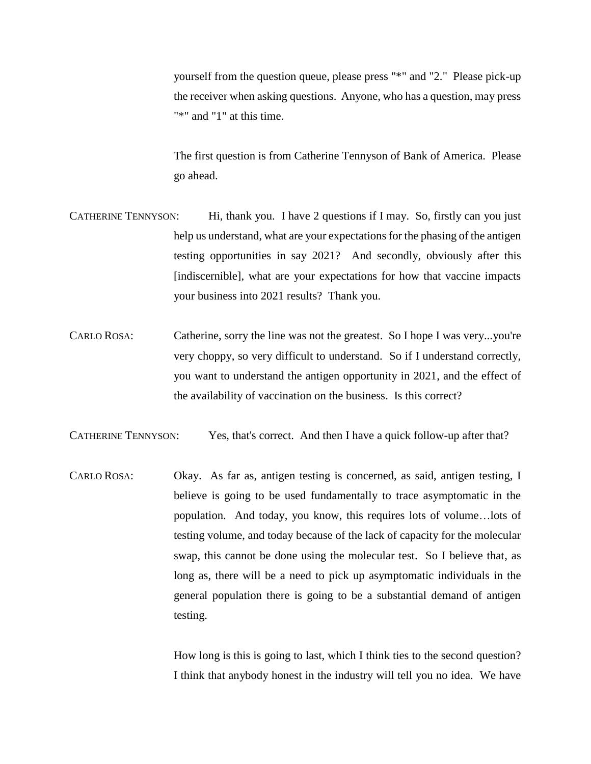yourself from the question queue, please press "\*" and "2." Please pick-up the receiver when asking questions. Anyone, who has a question, may press "\*" and "1" at this time.

The first question is from Catherine Tennyson of Bank of America. Please go ahead.

- CATHERINE TENNYSON: Hi, thank you. I have 2 questions if I may. So, firstly can you just help us understand, what are your expectations for the phasing of the antigen testing opportunities in say 2021? And secondly, obviously after this [indiscernible], what are your expectations for how that vaccine impacts your business into 2021 results? Thank you.
- CARLO ROSA: Catherine, sorry the line was not the greatest. So I hope I was very...you're very choppy, so very difficult to understand. So if I understand correctly, you want to understand the antigen opportunity in 2021, and the effect of the availability of vaccination on the business. Is this correct?

CATHERINE TENNYSON: Yes, that's correct. And then I have a quick follow-up after that?

CARLO ROSA: Okay. As far as, antigen testing is concerned, as said, antigen testing, I believe is going to be used fundamentally to trace asymptomatic in the population. And today, you know, this requires lots of volume…lots of testing volume, and today because of the lack of capacity for the molecular swap, this cannot be done using the molecular test. So I believe that, as long as, there will be a need to pick up asymptomatic individuals in the general population there is going to be a substantial demand of antigen testing.

> How long is this is going to last, which I think ties to the second question? I think that anybody honest in the industry will tell you no idea. We have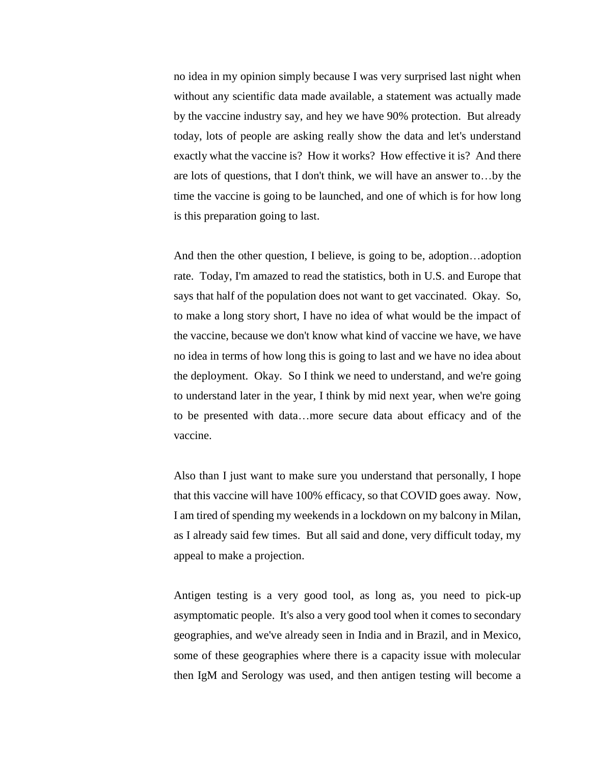no idea in my opinion simply because I was very surprised last night when without any scientific data made available, a statement was actually made by the vaccine industry say, and hey we have 90% protection. But already today, lots of people are asking really show the data and let's understand exactly what the vaccine is? How it works? How effective it is? And there are lots of questions, that I don't think, we will have an answer to…by the time the vaccine is going to be launched, and one of which is for how long is this preparation going to last.

And then the other question, I believe, is going to be, adoption…adoption rate. Today, I'm amazed to read the statistics, both in U.S. and Europe that says that half of the population does not want to get vaccinated. Okay. So, to make a long story short, I have no idea of what would be the impact of the vaccine, because we don't know what kind of vaccine we have, we have no idea in terms of how long this is going to last and we have no idea about the deployment. Okay. So I think we need to understand, and we're going to understand later in the year, I think by mid next year, when we're going to be presented with data…more secure data about efficacy and of the vaccine.

Also than I just want to make sure you understand that personally, I hope that this vaccine will have 100% efficacy, so that COVID goes away. Now, I am tired of spending my weekends in a lockdown on my balcony in Milan, as I already said few times. But all said and done, very difficult today, my appeal to make a projection.

Antigen testing is a very good tool, as long as, you need to pick-up asymptomatic people. It's also a very good tool when it comes to secondary geographies, and we've already seen in India and in Brazil, and in Mexico, some of these geographies where there is a capacity issue with molecular then IgM and Serology was used, and then antigen testing will become a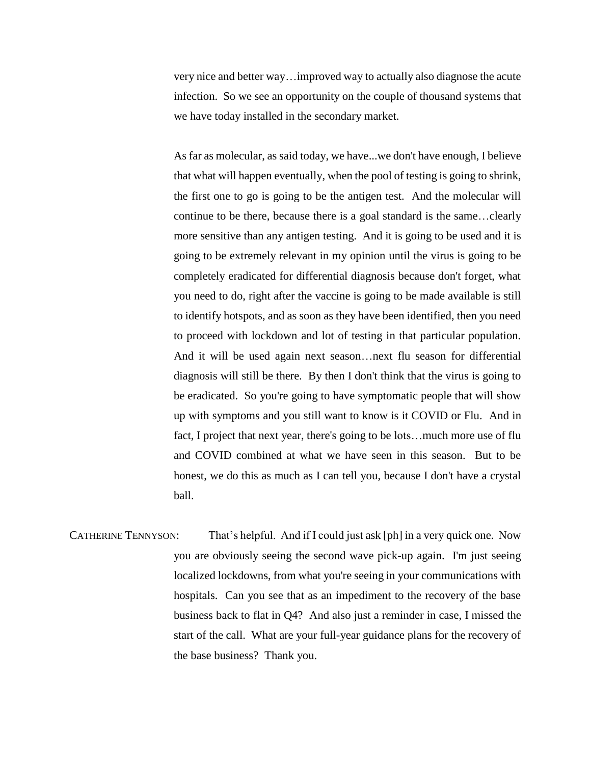very nice and better way…improved way to actually also diagnose the acute infection. So we see an opportunity on the couple of thousand systems that we have today installed in the secondary market.

As far as molecular, as said today, we have...we don't have enough, I believe that what will happen eventually, when the pool of testing is going to shrink, the first one to go is going to be the antigen test. And the molecular will continue to be there, because there is a goal standard is the same…clearly more sensitive than any antigen testing. And it is going to be used and it is going to be extremely relevant in my opinion until the virus is going to be completely eradicated for differential diagnosis because don't forget, what you need to do, right after the vaccine is going to be made available is still to identify hotspots, and as soon as they have been identified, then you need to proceed with lockdown and lot of testing in that particular population. And it will be used again next season…next flu season for differential diagnosis will still be there. By then I don't think that the virus is going to be eradicated. So you're going to have symptomatic people that will show up with symptoms and you still want to know is it COVID or Flu. And in fact, I project that next year, there's going to be lots…much more use of flu and COVID combined at what we have seen in this season. But to be honest, we do this as much as I can tell you, because I don't have a crystal ball.

CATHERINE TENNYSON: That's helpful. And if I could just ask [ph] in a very quick one. Now you are obviously seeing the second wave pick-up again. I'm just seeing localized lockdowns, from what you're seeing in your communications with hospitals. Can you see that as an impediment to the recovery of the base business back to flat in Q4? And also just a reminder in case, I missed the start of the call. What are your full-year guidance plans for the recovery of the base business? Thank you.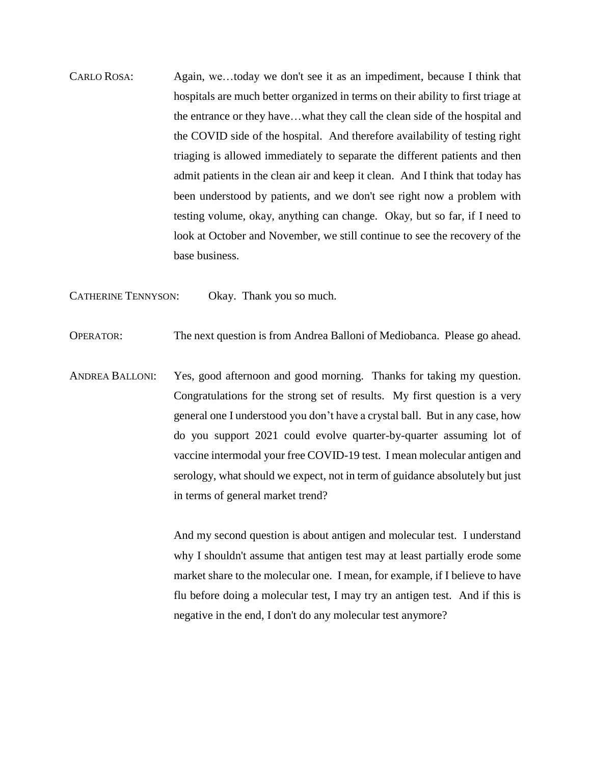CARLO ROSA: Again, we…today we don't see it as an impediment, because I think that hospitals are much better organized in terms on their ability to first triage at the entrance or they have…what they call the clean side of the hospital and the COVID side of the hospital. And therefore availability of testing right triaging is allowed immediately to separate the different patients and then admit patients in the clean air and keep it clean. And I think that today has been understood by patients, and we don't see right now a problem with testing volume, okay, anything can change. Okay, but so far, if I need to look at October and November, we still continue to see the recovery of the base business.

CATHERINE TENNYSON: Okay. Thank you so much.

OPERATOR: The next question is from Andrea Balloni of Mediobanca. Please go ahead.

ANDREA BALLONI: Yes, good afternoon and good morning. Thanks for taking my question. Congratulations for the strong set of results. My first question is a very general one I understood you don't have a crystal ball. But in any case, how do you support 2021 could evolve quarter-by-quarter assuming lot of vaccine intermodal your free COVID-19 test. I mean molecular antigen and serology, what should we expect, not in term of guidance absolutely but just in terms of general market trend?

> And my second question is about antigen and molecular test. I understand why I shouldn't assume that antigen test may at least partially erode some market share to the molecular one. I mean, for example, if I believe to have flu before doing a molecular test, I may try an antigen test. And if this is negative in the end, I don't do any molecular test anymore?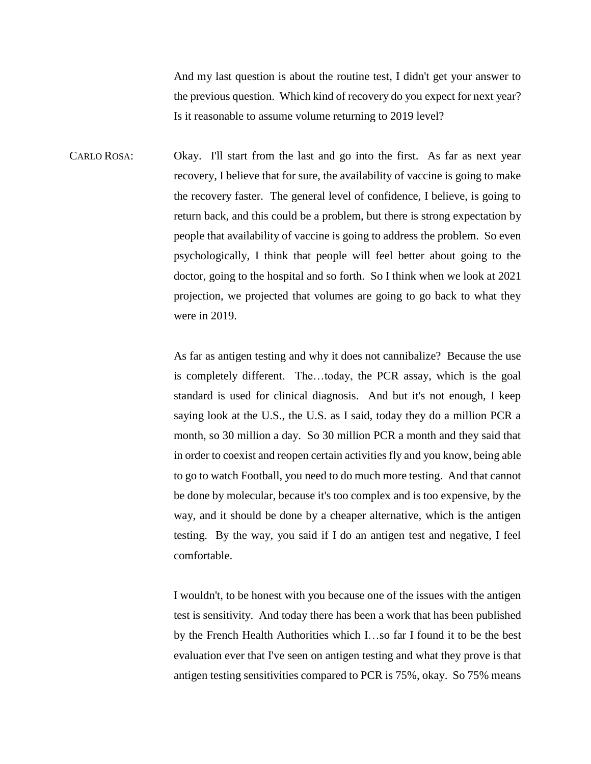And my last question is about the routine test, I didn't get your answer to the previous question. Which kind of recovery do you expect for next year? Is it reasonable to assume volume returning to 2019 level?

CARLO ROSA: Okay. I'll start from the last and go into the first. As far as next year recovery, I believe that for sure, the availability of vaccine is going to make the recovery faster. The general level of confidence, I believe, is going to return back, and this could be a problem, but there is strong expectation by people that availability of vaccine is going to address the problem. So even psychologically, I think that people will feel better about going to the doctor, going to the hospital and so forth. So I think when we look at 2021 projection, we projected that volumes are going to go back to what they were in 2019.

> As far as antigen testing and why it does not cannibalize? Because the use is completely different. The…today, the PCR assay, which is the goal standard is used for clinical diagnosis. And but it's not enough, I keep saying look at the U.S., the U.S. as I said, today they do a million PCR a month, so 30 million a day. So 30 million PCR a month and they said that in order to coexist and reopen certain activities fly and you know, being able to go to watch Football, you need to do much more testing. And that cannot be done by molecular, because it's too complex and is too expensive, by the way, and it should be done by a cheaper alternative, which is the antigen testing. By the way, you said if I do an antigen test and negative, I feel comfortable.

> I wouldn't, to be honest with you because one of the issues with the antigen test is sensitivity. And today there has been a work that has been published by the French Health Authorities which I…so far I found it to be the best evaluation ever that I've seen on antigen testing and what they prove is that antigen testing sensitivities compared to PCR is 75%, okay. So 75% means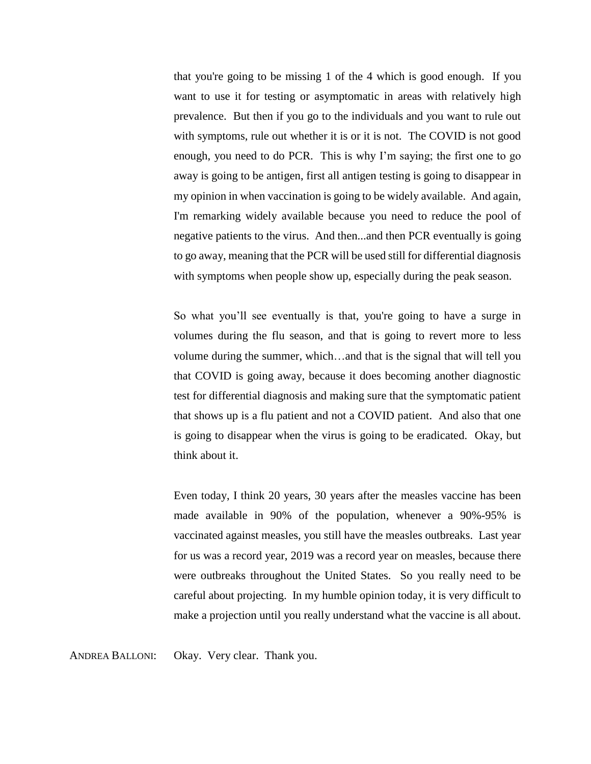that you're going to be missing 1 of the 4 which is good enough. If you want to use it for testing or asymptomatic in areas with relatively high prevalence. But then if you go to the individuals and you want to rule out with symptoms, rule out whether it is or it is not. The COVID is not good enough, you need to do PCR. This is why I'm saying; the first one to go away is going to be antigen, first all antigen testing is going to disappear in my opinion in when vaccination is going to be widely available. And again, I'm remarking widely available because you need to reduce the pool of negative patients to the virus. And then...and then PCR eventually is going to go away, meaning that the PCR will be used still for differential diagnosis with symptoms when people show up, especially during the peak season.

So what you'll see eventually is that, you're going to have a surge in volumes during the flu season, and that is going to revert more to less volume during the summer, which…and that is the signal that will tell you that COVID is going away, because it does becoming another diagnostic test for differential diagnosis and making sure that the symptomatic patient that shows up is a flu patient and not a COVID patient. And also that one is going to disappear when the virus is going to be eradicated. Okay, but think about it.

Even today, I think 20 years, 30 years after the measles vaccine has been made available in 90% of the population, whenever a 90%-95% is vaccinated against measles, you still have the measles outbreaks. Last year for us was a record year, 2019 was a record year on measles, because there were outbreaks throughout the United States. So you really need to be careful about projecting. In my humble opinion today, it is very difficult to make a projection until you really understand what the vaccine is all about.

ANDREA BALLONI: Okay. Very clear. Thank you.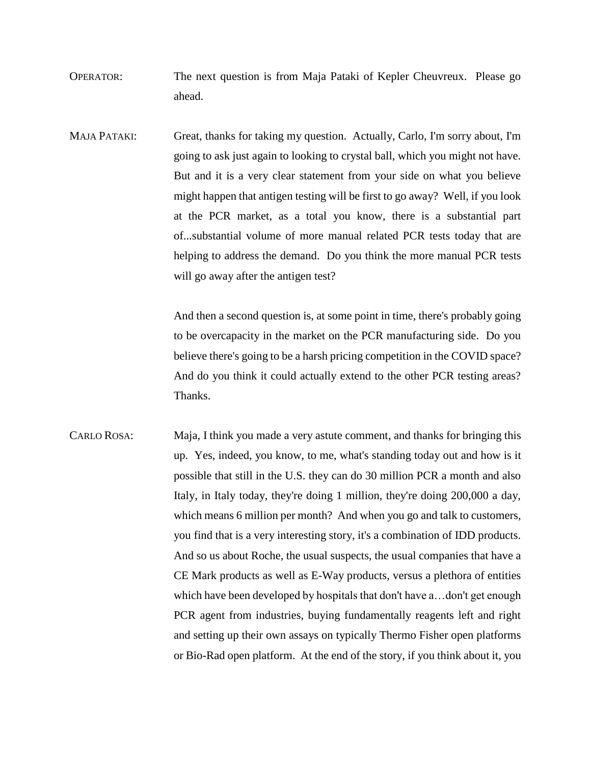- OPERATOR: The next question is from Maja Pataki of Kepler Cheuvreux. Please go ahead.
- MAJA PATAKI: Great, thanks for taking my question. Actually, Carlo, I'm sorry about, I'm going to ask just again to looking to crystal ball, which you might not have. But and it is a very clear statement from your side on what you believe might happen that antigen testing will be first to go away? Well, if you look at the PCR market, as a total you know, there is a substantial part of...substantial volume of more manual related PCR tests today that are helping to address the demand. Do you think the more manual PCR tests will go away after the antigen test?

And then a second question is, at some point in time, there's probably going to be overcapacity in the market on the PCR manufacturing side. Do you believe there's going to be a harsh pricing competition in the COVID space? And do you think it could actually extend to the other PCR testing areas? Thanks.

CARLO ROSA: Maja, I think you made a very astute comment, and thanks for bringing this up. Yes, indeed, you know, to me, what's standing today out and how is it possible that still in the U.S. they can do 30 million PCR a month and also Italy, in Italy today, they're doing 1 million, they're doing 200,000 a day, which means 6 million per month? And when you go and talk to customers, you find that is a very interesting story, it's a combination of IDD products. And so us about Roche, the usual suspects, the usual companies that have a CE Mark products as well as E-Way products, versus a plethora of entities which have been developed by hospitals that don't have a…don't get enough PCR agent from industries, buying fundamentally reagents left and right and setting up their own assays on typically Thermo Fisher open platforms or Bio-Rad open platform. At the end of the story, if you think about it, you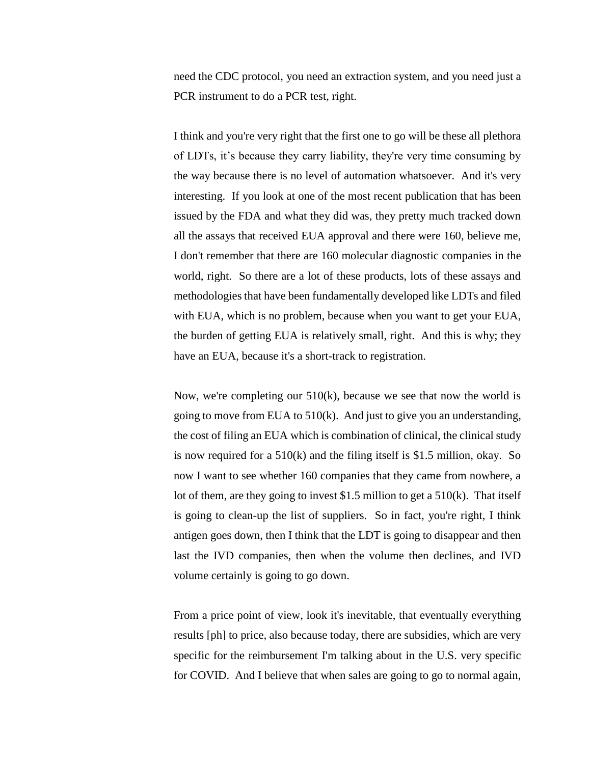need the CDC protocol, you need an extraction system, and you need just a PCR instrument to do a PCR test, right.

I think and you're very right that the first one to go will be these all plethora of LDTs, it's because they carry liability, they're very time consuming by the way because there is no level of automation whatsoever. And it's very interesting. If you look at one of the most recent publication that has been issued by the FDA and what they did was, they pretty much tracked down all the assays that received EUA approval and there were 160, believe me, I don't remember that there are 160 molecular diagnostic companies in the world, right. So there are a lot of these products, lots of these assays and methodologies that have been fundamentally developed like LDTs and filed with EUA, which is no problem, because when you want to get your EUA, the burden of getting EUA is relatively small, right. And this is why; they have an EUA, because it's a short-track to registration.

Now, we're completing our  $510(k)$ , because we see that now the world is going to move from EUA to 510(k). And just to give you an understanding, the cost of filing an EUA which is combination of clinical, the clinical study is now required for a 510(k) and the filing itself is \$1.5 million, okay. So now I want to see whether 160 companies that they came from nowhere, a lot of them, are they going to invest \$1.5 million to get a 510(k). That itself is going to clean-up the list of suppliers. So in fact, you're right, I think antigen goes down, then I think that the LDT is going to disappear and then last the IVD companies, then when the volume then declines, and IVD volume certainly is going to go down.

From a price point of view, look it's inevitable, that eventually everything results [ph] to price, also because today, there are subsidies, which are very specific for the reimbursement I'm talking about in the U.S. very specific for COVID. And I believe that when sales are going to go to normal again,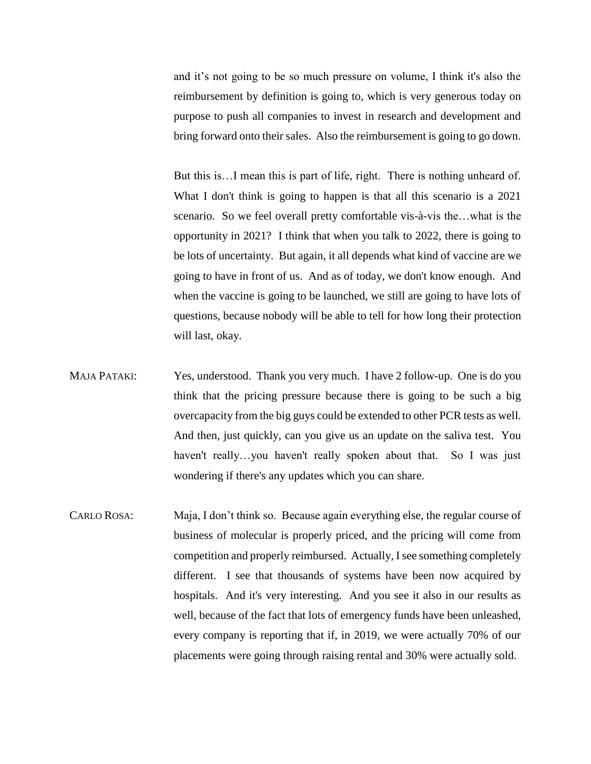and it's not going to be so much pressure on volume, I think it's also the reimbursement by definition is going to, which is very generous today on purpose to push all companies to invest in research and development and bring forward onto their sales. Also the reimbursement is going to go down.

But this is…I mean this is part of life, right. There is nothing unheard of. What I don't think is going to happen is that all this scenario is a 2021 scenario. So we feel overall pretty comfortable vis-à-vis the…what is the opportunity in 2021? I think that when you talk to 2022, there is going to be lots of uncertainty. But again, it all depends what kind of vaccine are we going to have in front of us. And as of today, we don't know enough. And when the vaccine is going to be launched, we still are going to have lots of questions, because nobody will be able to tell for how long their protection will last, okay.

- MAJA PATAKI: Yes, understood. Thank you very much. I have 2 follow-up. One is do you think that the pricing pressure because there is going to be such a big overcapacity from the big guys could be extended to other PCR tests as well. And then, just quickly, can you give us an update on the saliva test. You haven't really...you haven't really spoken about that. So I was just wondering if there's any updates which you can share.
- CARLO ROSA: Maja, I don't think so. Because again everything else, the regular course of business of molecular is properly priced, and the pricing will come from competition and properly reimbursed. Actually, I see something completely different. I see that thousands of systems have been now acquired by hospitals. And it's very interesting. And you see it also in our results as well, because of the fact that lots of emergency funds have been unleashed, every company is reporting that if, in 2019, we were actually 70% of our placements were going through raising rental and 30% were actually sold.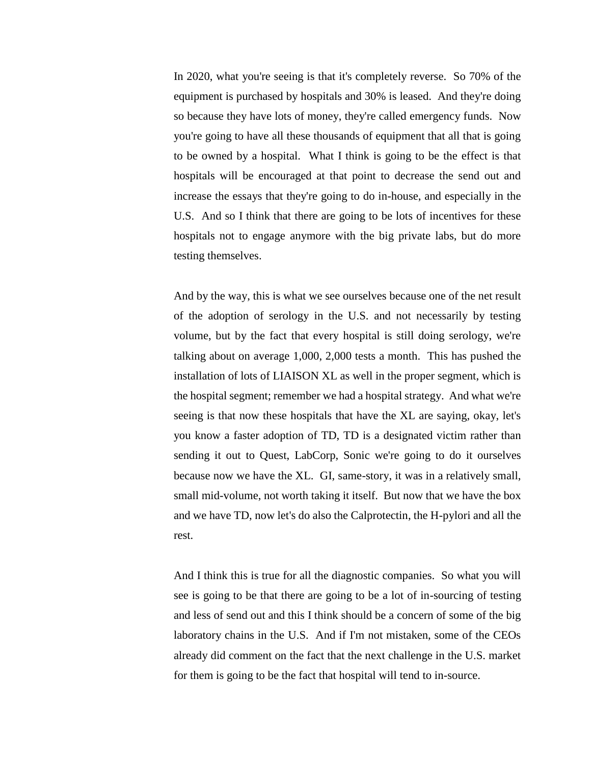In 2020, what you're seeing is that it's completely reverse. So 70% of the equipment is purchased by hospitals and 30% is leased. And they're doing so because they have lots of money, they're called emergency funds. Now you're going to have all these thousands of equipment that all that is going to be owned by a hospital. What I think is going to be the effect is that hospitals will be encouraged at that point to decrease the send out and increase the essays that they're going to do in-house, and especially in the U.S. And so I think that there are going to be lots of incentives for these hospitals not to engage anymore with the big private labs, but do more testing themselves.

And by the way, this is what we see ourselves because one of the net result of the adoption of serology in the U.S. and not necessarily by testing volume, but by the fact that every hospital is still doing serology, we're talking about on average 1,000, 2,000 tests a month. This has pushed the installation of lots of LIAISON XL as well in the proper segment, which is the hospital segment; remember we had a hospital strategy. And what we're seeing is that now these hospitals that have the XL are saying, okay, let's you know a faster adoption of TD, TD is a designated victim rather than sending it out to Quest, LabCorp, Sonic we're going to do it ourselves because now we have the XL. GI, same-story, it was in a relatively small, small mid-volume, not worth taking it itself. But now that we have the box and we have TD, now let's do also the Calprotectin, the H-pylori and all the rest.

And I think this is true for all the diagnostic companies. So what you will see is going to be that there are going to be a lot of in-sourcing of testing and less of send out and this I think should be a concern of some of the big laboratory chains in the U.S. And if I'm not mistaken, some of the CEOs already did comment on the fact that the next challenge in the U.S. market for them is going to be the fact that hospital will tend to in-source.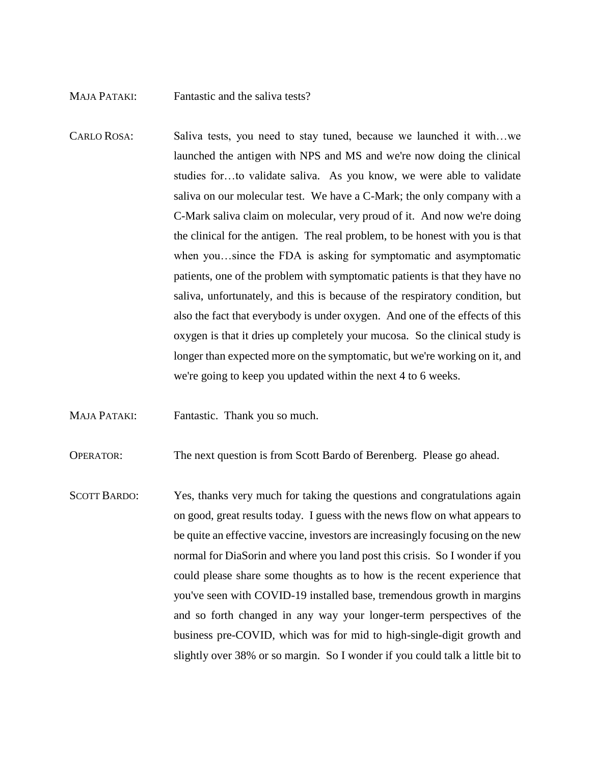## MAJA PATAKI: Fantastic and the saliva tests?

CARLO ROSA: Saliva tests, you need to stay tuned, because we launched it with…we launched the antigen with NPS and MS and we're now doing the clinical studies for…to validate saliva. As you know, we were able to validate saliva on our molecular test. We have a C-Mark; the only company with a C-Mark saliva claim on molecular, very proud of it. And now we're doing the clinical for the antigen. The real problem, to be honest with you is that when you…since the FDA is asking for symptomatic and asymptomatic patients, one of the problem with symptomatic patients is that they have no saliva, unfortunately, and this is because of the respiratory condition, but also the fact that everybody is under oxygen. And one of the effects of this oxygen is that it dries up completely your mucosa. So the clinical study is longer than expected more on the symptomatic, but we're working on it, and we're going to keep you updated within the next 4 to 6 weeks.

MAJA PATAKI: Fantastic. Thank you so much.

OPERATOR: The next question is from Scott Bardo of Berenberg. Please go ahead.

SCOTT BARDO: Yes, thanks very much for taking the questions and congratulations again on good, great results today. I guess with the news flow on what appears to be quite an effective vaccine, investors are increasingly focusing on the new normal for DiaSorin and where you land post this crisis. So I wonder if you could please share some thoughts as to how is the recent experience that you've seen with COVID-19 installed base, tremendous growth in margins and so forth changed in any way your longer-term perspectives of the business pre-COVID, which was for mid to high-single-digit growth and slightly over 38% or so margin. So I wonder if you could talk a little bit to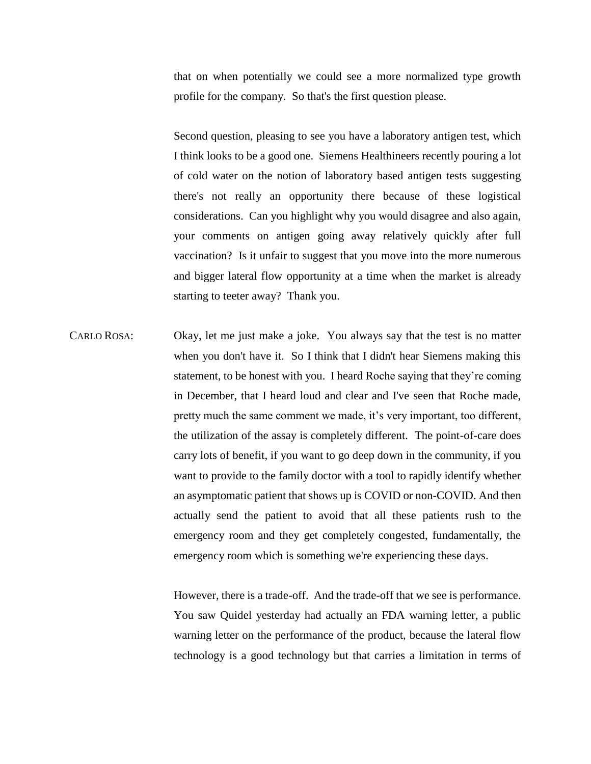that on when potentially we could see a more normalized type growth profile for the company. So that's the first question please.

Second question, pleasing to see you have a laboratory antigen test, which I think looks to be a good one. Siemens Healthineers recently pouring a lot of cold water on the notion of laboratory based antigen tests suggesting there's not really an opportunity there because of these logistical considerations. Can you highlight why you would disagree and also again, your comments on antigen going away relatively quickly after full vaccination? Is it unfair to suggest that you move into the more numerous and bigger lateral flow opportunity at a time when the market is already starting to teeter away? Thank you.

CARLO ROSA: Okay, let me just make a joke. You always say that the test is no matter when you don't have it. So I think that I didn't hear Siemens making this statement, to be honest with you. I heard Roche saying that they're coming in December, that I heard loud and clear and I've seen that Roche made, pretty much the same comment we made, it's very important, too different, the utilization of the assay is completely different. The point-of-care does carry lots of benefit, if you want to go deep down in the community, if you want to provide to the family doctor with a tool to rapidly identify whether an asymptomatic patient that shows up is COVID or non-COVID. And then actually send the patient to avoid that all these patients rush to the emergency room and they get completely congested, fundamentally, the emergency room which is something we're experiencing these days.

> However, there is a trade-off. And the trade-off that we see is performance. You saw Quidel yesterday had actually an FDA warning letter, a public warning letter on the performance of the product, because the lateral flow technology is a good technology but that carries a limitation in terms of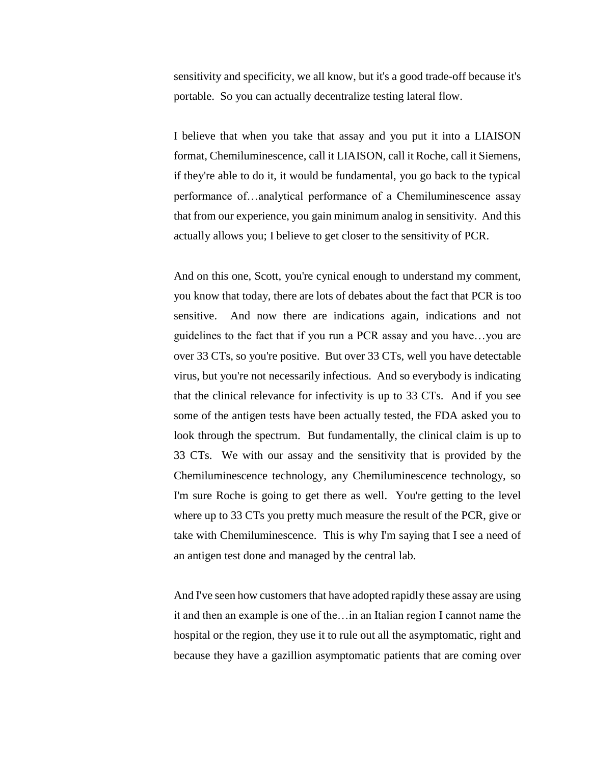sensitivity and specificity, we all know, but it's a good trade-off because it's portable. So you can actually decentralize testing lateral flow.

I believe that when you take that assay and you put it into a LIAISON format, Chemiluminescence, call it LIAISON, call it Roche, call it Siemens, if they're able to do it, it would be fundamental, you go back to the typical performance of…analytical performance of a Chemiluminescence assay that from our experience, you gain minimum analog in sensitivity. And this actually allows you; I believe to get closer to the sensitivity of PCR.

And on this one, Scott, you're cynical enough to understand my comment, you know that today, there are lots of debates about the fact that PCR is too sensitive. And now there are indications again, indications and not guidelines to the fact that if you run a PCR assay and you have…you are over 33 CTs, so you're positive. But over 33 CTs, well you have detectable virus, but you're not necessarily infectious. And so everybody is indicating that the clinical relevance for infectivity is up to 33 CTs. And if you see some of the antigen tests have been actually tested, the FDA asked you to look through the spectrum. But fundamentally, the clinical claim is up to 33 CTs. We with our assay and the sensitivity that is provided by the Chemiluminescence technology, any Chemiluminescence technology, so I'm sure Roche is going to get there as well. You're getting to the level where up to 33 CTs you pretty much measure the result of the PCR, give or take with Chemiluminescence. This is why I'm saying that I see a need of an antigen test done and managed by the central lab.

And I've seen how customers that have adopted rapidly these assay are using it and then an example is one of the…in an Italian region I cannot name the hospital or the region, they use it to rule out all the asymptomatic, right and because they have a gazillion asymptomatic patients that are coming over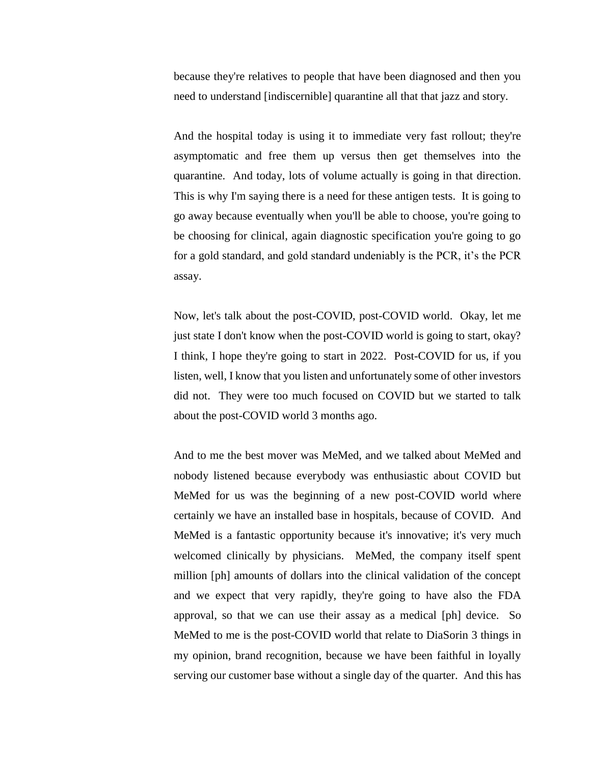because they're relatives to people that have been diagnosed and then you need to understand [indiscernible] quarantine all that that jazz and story.

And the hospital today is using it to immediate very fast rollout; they're asymptomatic and free them up versus then get themselves into the quarantine. And today, lots of volume actually is going in that direction. This is why I'm saying there is a need for these antigen tests. It is going to go away because eventually when you'll be able to choose, you're going to be choosing for clinical, again diagnostic specification you're going to go for a gold standard, and gold standard undeniably is the PCR, it's the PCR assay.

Now, let's talk about the post-COVID, post-COVID world. Okay, let me just state I don't know when the post-COVID world is going to start, okay? I think, I hope they're going to start in 2022. Post-COVID for us, if you listen, well, I know that you listen and unfortunately some of other investors did not. They were too much focused on COVID but we started to talk about the post-COVID world 3 months ago.

And to me the best mover was MeMed, and we talked about MeMed and nobody listened because everybody was enthusiastic about COVID but MeMed for us was the beginning of a new post-COVID world where certainly we have an installed base in hospitals, because of COVID. And MeMed is a fantastic opportunity because it's innovative; it's very much welcomed clinically by physicians. MeMed, the company itself spent million [ph] amounts of dollars into the clinical validation of the concept and we expect that very rapidly, they're going to have also the FDA approval, so that we can use their assay as a medical [ph] device. So MeMed to me is the post-COVID world that relate to DiaSorin 3 things in my opinion, brand recognition, because we have been faithful in loyally serving our customer base without a single day of the quarter. And this has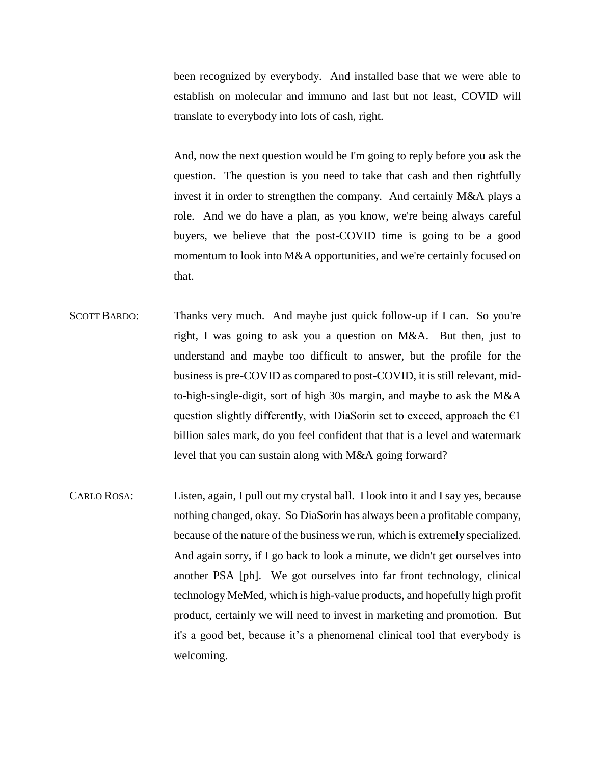been recognized by everybody. And installed base that we were able to establish on molecular and immuno and last but not least, COVID will translate to everybody into lots of cash, right.

And, now the next question would be I'm going to reply before you ask the question. The question is you need to take that cash and then rightfully invest it in order to strengthen the company. And certainly M&A plays a role. And we do have a plan, as you know, we're being always careful buyers, we believe that the post-COVID time is going to be a good momentum to look into M&A opportunities, and we're certainly focused on that.

- SCOTT BARDO: Thanks very much. And maybe just quick follow-up if I can. So you're right, I was going to ask you a question on M&A. But then, just to understand and maybe too difficult to answer, but the profile for the business is pre-COVID as compared to post-COVID, it is still relevant, midto-high-single-digit, sort of high 30s margin, and maybe to ask the M&A question slightly differently, with DiaSorin set to exceed, approach the  $\epsilon$ 1 billion sales mark, do you feel confident that that is a level and watermark level that you can sustain along with M&A going forward?
- CARLO ROSA: Listen, again, I pull out my crystal ball. I look into it and I say yes, because nothing changed, okay. So DiaSorin has always been a profitable company, because of the nature of the business we run, which is extremely specialized. And again sorry, if I go back to look a minute, we didn't get ourselves into another PSA [ph]. We got ourselves into far front technology, clinical technology MeMed, which is high-value products, and hopefully high profit product, certainly we will need to invest in marketing and promotion. But it's a good bet, because it's a phenomenal clinical tool that everybody is welcoming.